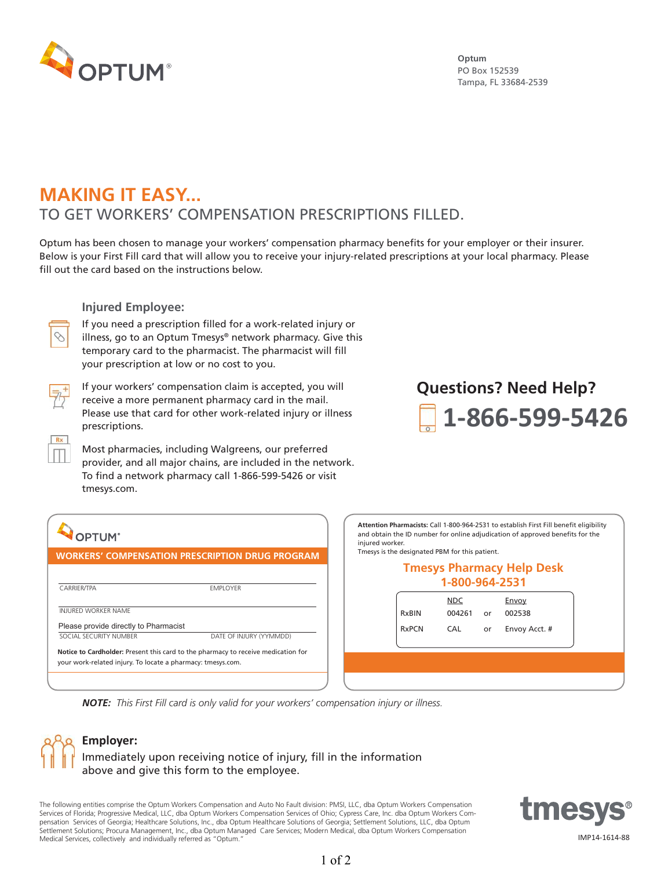

**Optum** PO Box 152539 Tampa, FL 33684-2539

### **MAKING IT EASY...**  TO GET WORKERS' COMPENSATION PRESCRIPTIONS FILLED.

Optum has been chosen to manage your workers' compensation pharmacy benefits for your employer or their insurer. Below is your First Fill card that will allow you to receive your injury-related prescriptions at your local pharmacy. Please fill out the card based on the instructions below.

#### **Injured Employee:**



If you need a prescription filled for a work-related injury or illness, go to an Optum Tmesys® network pharmacy. Give this temporary card to the pharmacist. The pharmacist will fill your prescription at low or no cost to you.



If your workers' compensation claim is accepted, you will receive a more permanent pharmacy card in the mail. Please use that card for other work-related injury or illness prescriptions.

Most pharmacies, including Walgreens, our preferred provider, and all major chains, are included in the network. To find a network pharmacy call 1-866-599-5426 or visit tmesys.com.

# **1-866-599-5426 Questions? Need Help?**

| <b>DPTUM</b>                                                | <b>WORKERS' COMPENSATION PRESCRIPTION DRUG PROGRAM</b>                            |  |  |  |  |
|-------------------------------------------------------------|-----------------------------------------------------------------------------------|--|--|--|--|
| <b>LWP Claims Solutions, In</b>                             |                                                                                   |  |  |  |  |
| <b>CARRIFR/TPA</b>                                          | <b>FMPI OYFR</b>                                                                  |  |  |  |  |
| <b>INJURED WORKER NAME</b>                                  |                                                                                   |  |  |  |  |
| Please provide directly to Pharmacist                       |                                                                                   |  |  |  |  |
| SOCIAL SECURITY NUMBER                                      | DATE OF INJURY (YYMMDD)                                                           |  |  |  |  |
| your work-related injury. To locate a pharmacy: tmesys.com. | Notice to Cardholder: Present this card to the pharmacy to receive medication for |  |  |  |  |

**Attention Pharmacists:** Call 1-800-964-2531 to establish First Fill benefit eligibility and obtain the ID number for online adjudication of approved benefits for the injured worker.

Tmesys is the designated PBM for this patient.

#### **Tmesys Pharmacy Help Desk 1-800-964-2531**

| <b>RxBIN</b> | NDC<br>004261 | or | Envoy<br>002538 |  |
|--------------|---------------|----|-----------------|--|
| <b>RxPCN</b> | <b>CAL</b>    | or | Envoy Acct. #   |  |
|              |               |    |                 |  |
|              |               |    |                 |  |

*NOTE: This First Fill card is only valid for your workers' compensation injury or illness.*



The following entities comprise the Optum Workers Compensation and Auto No Fault division: PMSI, LLC, dba Optum Workers Compensation Services of Florida; Progressive Medical, LLC, dba Optum Workers Compensation Services of Ohio; Cypress Care, Inc. dba Optum Workers Compensation Services of Georgia; Healthcare Solutions, Inc., dba Optum Healthcare Solutions of Georgia; Settlement Solutions, LLC, dba Optum Settlement Solutions; Procura Management, Inc., dba Optum Managed Care Services; Modern Medical, dba Optum Workers Compensation Medical Services, collectively and individually referred as "Optum."